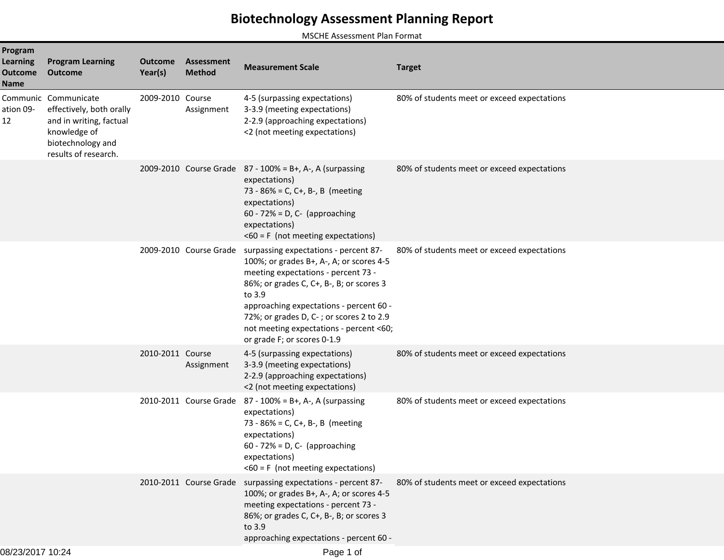## **Biotechnology Assessment Planning Report**

MSCHE Assessment Plan Format

| Program<br><b>Learning</b><br><b>Outcome</b><br><b>Name</b> | <b>Program Learning</b><br><b>Outcome</b>                                                                                                | <b>Outcome</b><br>Year(s) | <b>Assessment</b><br><b>Method</b> | <b>Measurement Scale</b>                                                                                                                                                                                                                                                                                                                                               | <b>Target</b>                               |
|-------------------------------------------------------------|------------------------------------------------------------------------------------------------------------------------------------------|---------------------------|------------------------------------|------------------------------------------------------------------------------------------------------------------------------------------------------------------------------------------------------------------------------------------------------------------------------------------------------------------------------------------------------------------------|---------------------------------------------|
| ation 09-<br>12                                             | Communic Communicate<br>effectively, both orally<br>and in writing, factual<br>knowledge of<br>biotechnology and<br>results of research. | 2009-2010 Course          | Assignment                         | 4-5 (surpassing expectations)<br>3-3.9 (meeting expectations)<br>2-2.9 (approaching expectations)<br><2 (not meeting expectations)                                                                                                                                                                                                                                     | 80% of students meet or exceed expectations |
|                                                             |                                                                                                                                          |                           |                                    | 2009-2010 Course Grade $87 - 100\% = B +$ , A-, A (surpassing<br>expectations)<br>73 - 86% = C, C+, B-, B (meeting<br>expectations)<br>$60 - 72\% = D$ , C- (approaching<br>expectations)<br>$<$ 60 = F (not meeting expectations)                                                                                                                                     | 80% of students meet or exceed expectations |
|                                                             |                                                                                                                                          |                           |                                    | 2009-2010 Course Grade surpassing expectations - percent 87-<br>100%; or grades B+, A-, A; or scores 4-5<br>meeting expectations - percent 73 -<br>86%; or grades C, C+, B-, B; or scores 3<br>to 3.9<br>approaching expectations - percent 60 -<br>72%; or grades D, C-; or scores 2 to 2.9<br>not meeting expectations - percent <60;<br>or grade F; or scores 0-1.9 | 80% of students meet or exceed expectations |
|                                                             |                                                                                                                                          | 2010-2011 Course          | Assignment                         | 4-5 (surpassing expectations)<br>3-3.9 (meeting expectations)<br>2-2.9 (approaching expectations)<br><2 (not meeting expectations)                                                                                                                                                                                                                                     | 80% of students meet or exceed expectations |
|                                                             |                                                                                                                                          |                           |                                    | 2010-2011 Course Grade $87 - 100\% = B +$ , A-, A (surpassing<br>expectations)<br>73 - 86% = C, C+, B-, B (meeting<br>expectations)<br>$60 - 72\% = D$ , C- (approaching<br>expectations)<br>$<$ 60 = F (not meeting expectations)                                                                                                                                     | 80% of students meet or exceed expectations |
|                                                             |                                                                                                                                          |                           |                                    | 2010-2011 Course Grade surpassing expectations - percent 87-<br>100%; or grades B+, A-, A; or scores 4-5<br>meeting expectations - percent 73 -<br>86%; or grades C, C+, B-, B; or scores 3<br>to 3.9<br>approaching expectations - percent 60 -                                                                                                                       | 80% of students meet or exceed expectations |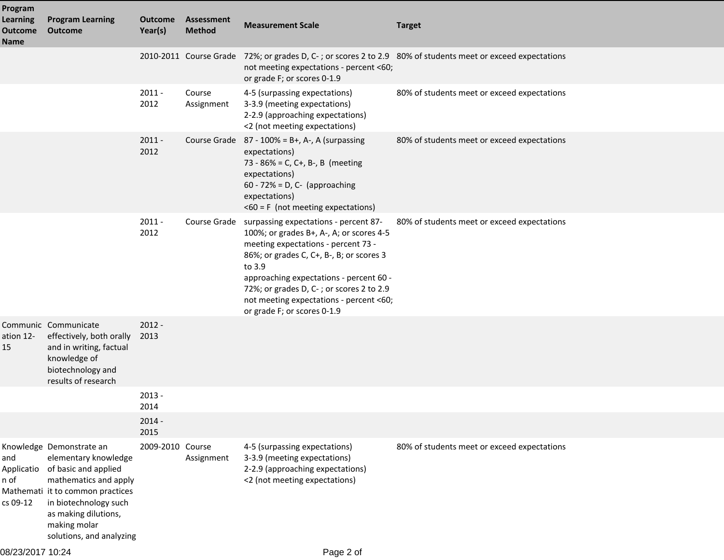| Program<br><b>Learning</b><br><b>Outcome</b> | <b>Program Learning</b><br><b>Outcome</b>                                                                                                                                                                                          | <b>Outcome</b><br>Year(s) | Assessment<br><b>Method</b> | <b>Measurement Scale</b>                                                                                                                                                                                                                                                                                                                                     | <b>Target</b>                                                                                               |
|----------------------------------------------|------------------------------------------------------------------------------------------------------------------------------------------------------------------------------------------------------------------------------------|---------------------------|-----------------------------|--------------------------------------------------------------------------------------------------------------------------------------------------------------------------------------------------------------------------------------------------------------------------------------------------------------------------------------------------------------|-------------------------------------------------------------------------------------------------------------|
| <b>Name</b>                                  |                                                                                                                                                                                                                                    |                           |                             | not meeting expectations - percent <60;<br>or grade F; or scores 0-1.9                                                                                                                                                                                                                                                                                       | 2010-2011 Course Grade 72%; or grades D, C-; or scores 2 to 2.9 80% of students meet or exceed expectations |
|                                              |                                                                                                                                                                                                                                    | $2011 -$<br>2012          | Course<br>Assignment        | 4-5 (surpassing expectations)<br>3-3.9 (meeting expectations)<br>2-2.9 (approaching expectations)<br><2 (not meeting expectations)                                                                                                                                                                                                                           | 80% of students meet or exceed expectations                                                                 |
|                                              |                                                                                                                                                                                                                                    | $2011 -$<br>2012          |                             | Course Grade $87 - 100\% = B +$ , A-, A (surpassing<br>expectations)<br>73 - 86% = C, C+, B-, B (meeting<br>expectations)<br>$60 - 72\% = D$ , C- (approaching<br>expectations)<br>$<$ 60 = F (not meeting expectations)                                                                                                                                     | 80% of students meet or exceed expectations                                                                 |
|                                              |                                                                                                                                                                                                                                    | $2011 -$<br>2012          |                             | Course Grade surpassing expectations - percent 87-<br>100%; or grades B+, A-, A; or scores 4-5<br>meeting expectations - percent 73 -<br>86%; or grades C, C+, B-, B; or scores 3<br>to 3.9<br>approaching expectations - percent 60 -<br>72%; or grades D, C-; or scores 2 to 2.9<br>not meeting expectations - percent <60;<br>or grade F; or scores 0-1.9 | 80% of students meet or exceed expectations                                                                 |
| ation 12-<br>15                              | Communic Communicate<br>effectively, both orally<br>and in writing, factual<br>knowledge of<br>biotechnology and<br>results of research                                                                                            | $2012 -$<br>2013          |                             |                                                                                                                                                                                                                                                                                                                                                              |                                                                                                             |
|                                              |                                                                                                                                                                                                                                    | $2013 -$<br>2014          |                             |                                                                                                                                                                                                                                                                                                                                                              |                                                                                                             |
|                                              |                                                                                                                                                                                                                                    | $2014 -$<br>2015          |                             |                                                                                                                                                                                                                                                                                                                                                              |                                                                                                             |
| and<br>Applicatio<br>n of<br>cs 09-12        | Knowledge Demonstrate an<br>elementary knowledge<br>of basic and applied<br>mathematics and apply<br>Mathemati it to common practices<br>in biotechnology such<br>as making dilutions,<br>making molar<br>solutions, and analyzing | 2009-2010 Course          | Assignment                  | 4-5 (surpassing expectations)<br>3-3.9 (meeting expectations)<br>2-2.9 (approaching expectations)<br><2 (not meeting expectations)                                                                                                                                                                                                                           | 80% of students meet or exceed expectations                                                                 |

08/23/2017 10:24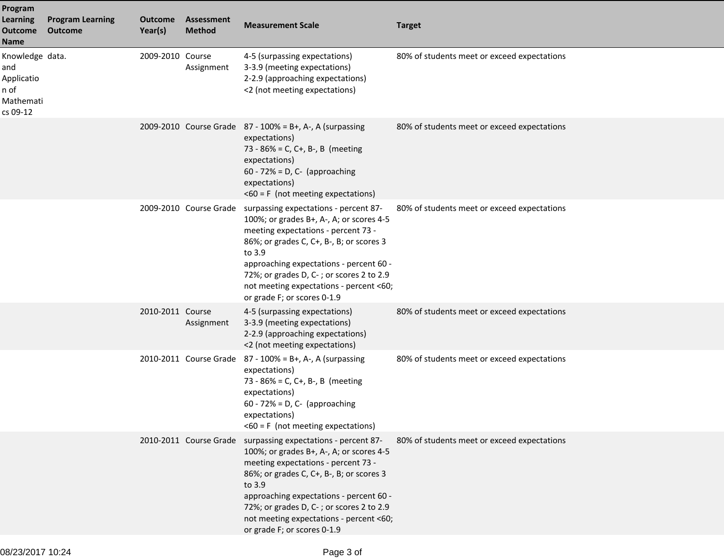| Program<br><b>Learning</b><br><b>Outcome</b><br>Name                  | <b>Program Learning</b><br><b>Outcome</b> | <b>Outcome</b><br>Year(s) | <b>Assessment</b><br><b>Method</b> | <b>Measurement Scale</b>                                                                                                                                                                                                                                                                                                                                               | <b>Target</b>                               |
|-----------------------------------------------------------------------|-------------------------------------------|---------------------------|------------------------------------|------------------------------------------------------------------------------------------------------------------------------------------------------------------------------------------------------------------------------------------------------------------------------------------------------------------------------------------------------------------------|---------------------------------------------|
| Knowledge data.<br>and<br>Applicatio<br>n of<br>Mathemati<br>cs 09-12 |                                           | 2009-2010 Course          | Assignment                         | 4-5 (surpassing expectations)<br>3-3.9 (meeting expectations)<br>2-2.9 (approaching expectations)<br><2 (not meeting expectations)                                                                                                                                                                                                                                     | 80% of students meet or exceed expectations |
|                                                                       |                                           |                           |                                    | 2009-2010 Course Grade 87 - 100% = B+, A-, A (surpassing<br>expectations)<br>73 - 86% = C, C+, B-, B (meeting<br>expectations)<br>$60 - 72\% = D$ , C- (approaching<br>expectations)<br>$<$ 60 = F (not meeting expectations)                                                                                                                                          | 80% of students meet or exceed expectations |
|                                                                       |                                           |                           |                                    | 2009-2010 Course Grade surpassing expectations - percent 87-<br>100%; or grades B+, A-, A; or scores 4-5<br>meeting expectations - percent 73 -<br>86%; or grades C, C+, B-, B; or scores 3<br>to 3.9<br>approaching expectations - percent 60 -<br>72%; or grades D, C-; or scores 2 to 2.9<br>not meeting expectations - percent <60;<br>or grade F; or scores 0-1.9 | 80% of students meet or exceed expectations |
|                                                                       |                                           | 2010-2011 Course          | Assignment                         | 4-5 (surpassing expectations)<br>3-3.9 (meeting expectations)<br>2-2.9 (approaching expectations)<br><2 (not meeting expectations)                                                                                                                                                                                                                                     | 80% of students meet or exceed expectations |
|                                                                       |                                           |                           |                                    | 2010-2011 Course Grade 87 - 100% = B+, A-, A (surpassing<br>expectations)<br>73 - 86% = C, C+, B-, B (meeting<br>expectations)<br>$60 - 72\% = D$ , C- (approaching<br>expectations)<br>$<$ 60 = F (not meeting expectations)                                                                                                                                          | 80% of students meet or exceed expectations |
|                                                                       |                                           |                           |                                    | 2010-2011 Course Grade surpassing expectations - percent 87-<br>100%; or grades B+, A-, A; or scores 4-5<br>meeting expectations - percent 73 -<br>86%; or grades C, C+, B-, B; or scores 3<br>to 3.9<br>approaching expectations - percent 60 -<br>72%; or grades D, C-; or scores 2 to 2.9<br>not meeting expectations - percent <60;<br>or grade F; or scores 0-1.9 | 80% of students meet or exceed expectations |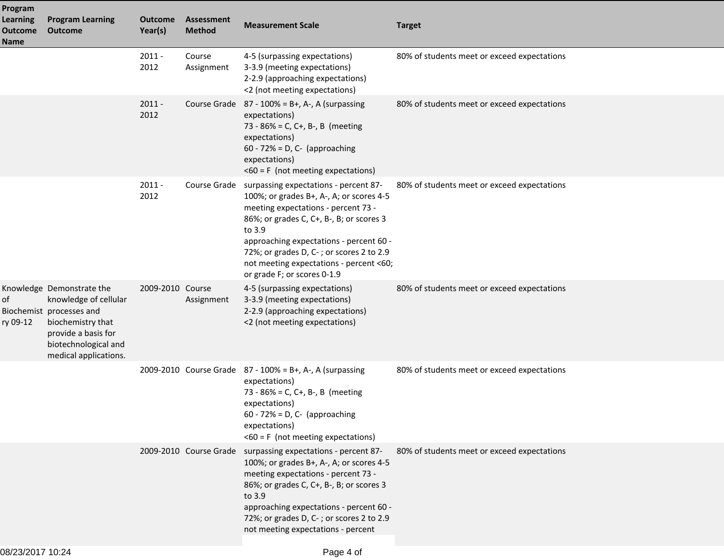| Program<br><b>Learning</b><br><b>Outcome</b><br><b>Name</b> | <b>Program Learning</b><br><b>Outcome</b>                                                                                                                                   | <b>Outcome</b><br>Year(s) | <b>Assessment</b><br><b>Method</b> | <b>Measurement Scale</b>                                                                                                                                                                                                                                                                                                                                     | <b>Target</b>                               |
|-------------------------------------------------------------|-----------------------------------------------------------------------------------------------------------------------------------------------------------------------------|---------------------------|------------------------------------|--------------------------------------------------------------------------------------------------------------------------------------------------------------------------------------------------------------------------------------------------------------------------------------------------------------------------------------------------------------|---------------------------------------------|
|                                                             |                                                                                                                                                                             | $2011 -$<br>2012          | Course<br>Assignment               | 4-5 (surpassing expectations)<br>3-3.9 (meeting expectations)<br>2-2.9 (approaching expectations)<br><2 (not meeting expectations)                                                                                                                                                                                                                           | 80% of students meet or exceed expectations |
|                                                             |                                                                                                                                                                             | $2011 -$<br>2012          |                                    | Course Grade $87 - 100\% = B +$ , A-, A (surpassing<br>expectations)<br>73 - 86% = C, C+, B-, B (meeting<br>expectations)<br>60 - 72% = D, C- (approaching<br>expectations)<br>$<$ 60 = F (not meeting expectations)                                                                                                                                         | 80% of students meet or exceed expectations |
|                                                             |                                                                                                                                                                             | $2011 -$<br>2012          |                                    | Course Grade surpassing expectations - percent 87-<br>100%; or grades B+, A-, A; or scores 4-5<br>meeting expectations - percent 73 -<br>86%; or grades C, C+, B-, B; or scores 3<br>to 3.9<br>approaching expectations - percent 60 -<br>72%; or grades D, C-; or scores 2 to 2.9<br>not meeting expectations - percent <60;<br>or grade F; or scores 0-1.9 | 80% of students meet or exceed expectations |
| of<br>ry 09-12                                              | Knowledge Demonstrate the<br>knowledge of cellular<br>Biochemist processes and<br>biochemistry that<br>provide a basis for<br>biotechnological and<br>medical applications. | 2009-2010 Course          | Assignment                         | 4-5 (surpassing expectations)<br>3-3.9 (meeting expectations)<br>2-2.9 (approaching expectations)<br><2 (not meeting expectations)                                                                                                                                                                                                                           | 80% of students meet or exceed expectations |
|                                                             |                                                                                                                                                                             |                           |                                    | 2009-2010 Course Grade 87 - 100% = B+, A-, A (surpassing<br>expectations)<br>73 - 86% = C, C+, B-, B (meeting<br>expectations)<br>$60 - 72% = D$ , C- (approaching<br>expectations)<br>$<$ 60 = F (not meeting expectations)                                                                                                                                 | 80% of students meet or exceed expectations |
|                                                             |                                                                                                                                                                             |                           |                                    | 2009-2010 Course Grade surpassing expectations - percent 87-<br>100%; or grades B+, A-, A; or scores 4-5<br>meeting expectations - percent 73 -<br>86%; or grades C, C+, B-, B; or scores 3<br>to 3.9<br>approaching expectations - percent 60 -<br>72%; or grades D, C-; or scores 2 to 2.9<br>not meeting expectations - percent                           | 80% of students meet or exceed expectations |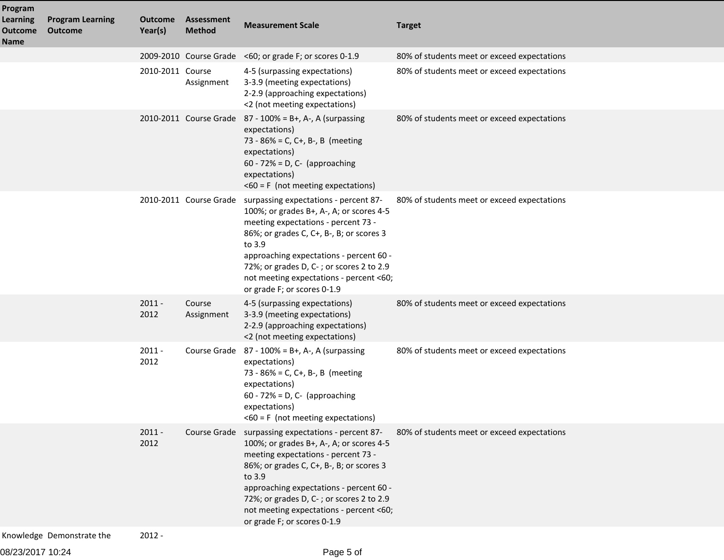| Program                                   |                                           |                           |                             |                                                                                                                                                                                                                                                                                                                                                                        |                                             |
|-------------------------------------------|-------------------------------------------|---------------------------|-----------------------------|------------------------------------------------------------------------------------------------------------------------------------------------------------------------------------------------------------------------------------------------------------------------------------------------------------------------------------------------------------------------|---------------------------------------------|
| Learning<br><b>Outcome</b><br><b>Name</b> | <b>Program Learning</b><br><b>Outcome</b> | <b>Outcome</b><br>Year(s) | Assessment<br><b>Method</b> | <b>Measurement Scale</b>                                                                                                                                                                                                                                                                                                                                               | <b>Target</b>                               |
|                                           |                                           |                           |                             | 2009-2010 Course Grade <60; or grade F; or scores 0-1.9                                                                                                                                                                                                                                                                                                                | 80% of students meet or exceed expectations |
|                                           |                                           | 2010-2011 Course          | Assignment                  | 4-5 (surpassing expectations)<br>3-3.9 (meeting expectations)<br>2-2.9 (approaching expectations)<br><2 (not meeting expectations)                                                                                                                                                                                                                                     | 80% of students meet or exceed expectations |
|                                           |                                           |                           |                             | 2010-2011 Course Grade 87 - 100% = B+, A-, A (surpassing<br>expectations)<br>73 - 86% = C, C+, B-, B (meeting<br>expectations)<br>$60 - 72\% = D$ , C- (approaching<br>expectations)<br>$<$ 60 = F (not meeting expectations)                                                                                                                                          | 80% of students meet or exceed expectations |
|                                           |                                           |                           |                             | 2010-2011 Course Grade surpassing expectations - percent 87-<br>100%; or grades B+, A-, A; or scores 4-5<br>meeting expectations - percent 73 -<br>86%; or grades C, C+, B-, B; or scores 3<br>to 3.9<br>approaching expectations - percent 60 -<br>72%; or grades D, C-; or scores 2 to 2.9<br>not meeting expectations - percent <60;<br>or grade F; or scores 0-1.9 | 80% of students meet or exceed expectations |
|                                           |                                           | $2011 -$<br>2012          | Course<br>Assignment        | 4-5 (surpassing expectations)<br>3-3.9 (meeting expectations)<br>2-2.9 (approaching expectations)<br><2 (not meeting expectations)                                                                                                                                                                                                                                     | 80% of students meet or exceed expectations |
|                                           |                                           | $2011 -$<br>2012          |                             | Course Grade $87 - 100\% = B+, A-, A$ (surpassing<br>expectations)<br>73 - 86% = C, C+, B-, B (meeting<br>expectations)<br>$60 - 72\% = D$ , C- (approaching<br>expectations)<br>$<$ 60 = F (not meeting expectations)                                                                                                                                                 | 80% of students meet or exceed expectations |
|                                           |                                           | $2011 -$<br>2012          |                             | Course Grade surpassing expectations - percent 87-<br>100%; or grades B+, A-, A; or scores 4-5<br>meeting expectations - percent 73 -<br>86%; or grades C, C+, B-, B; or scores 3<br>to 3.9<br>approaching expectations - percent 60 -<br>72%; or grades D, C-; or scores 2 to 2.9<br>not meeting expectations - percent <60;<br>or grade F; or scores 0-1.9           | 80% of students meet or exceed expectations |
|                                           | Knowledge Demonstrate the                 | $2012 -$                  |                             |                                                                                                                                                                                                                                                                                                                                                                        |                                             |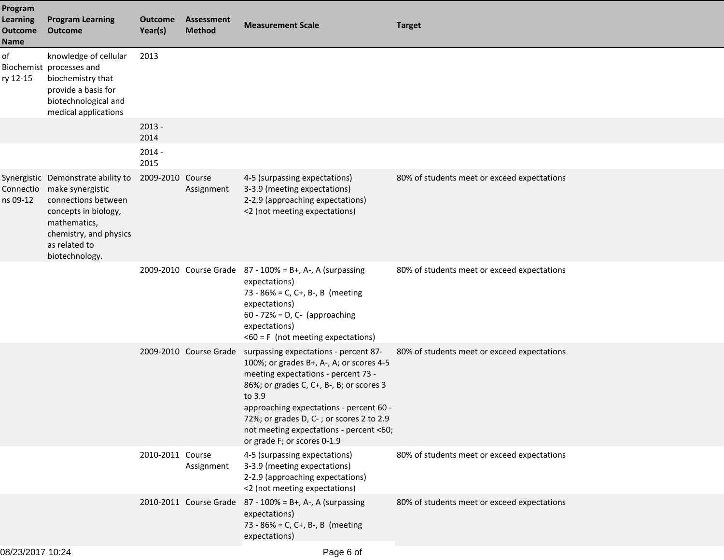| Program<br><b>Learning</b><br><b>Outcome</b><br><b>Name</b> | <b>Program Learning</b><br><b>Outcome</b>                                                                                                                                                    | <b>Outcome</b><br>Year(s) | Assessment<br><b>Method</b> | <b>Measurement Scale</b>                                                                                                                                                                                                                                                                                                                                               | <b>Target</b>                               |
|-------------------------------------------------------------|----------------------------------------------------------------------------------------------------------------------------------------------------------------------------------------------|---------------------------|-----------------------------|------------------------------------------------------------------------------------------------------------------------------------------------------------------------------------------------------------------------------------------------------------------------------------------------------------------------------------------------------------------------|---------------------------------------------|
| of<br>ry 12-15                                              | knowledge of cellular<br>Biochemist processes and<br>biochemistry that<br>provide a basis for<br>biotechnological and<br>medical applications                                                | 2013                      |                             |                                                                                                                                                                                                                                                                                                                                                                        |                                             |
|                                                             |                                                                                                                                                                                              | $2013 -$<br>2014          |                             |                                                                                                                                                                                                                                                                                                                                                                        |                                             |
|                                                             |                                                                                                                                                                                              | $2014 -$<br>2015          |                             |                                                                                                                                                                                                                                                                                                                                                                        |                                             |
| ns 09-12                                                    | Synergistic Demonstrate ability to<br>Connectio make synergistic<br>connections between<br>concepts in biology,<br>mathematics,<br>chemistry, and physics<br>as related to<br>biotechnology. | 2009-2010 Course          | Assignment                  | 4-5 (surpassing expectations)<br>3-3.9 (meeting expectations)<br>2-2.9 (approaching expectations)<br><2 (not meeting expectations)                                                                                                                                                                                                                                     | 80% of students meet or exceed expectations |
|                                                             |                                                                                                                                                                                              |                           |                             | 2009-2010 Course Grade $87 - 100\% = B +$ , A-, A (surpassing<br>expectations)<br>73 - 86% = C, C+, B-, B (meeting<br>expectations)<br>$60 - 72\% = D$ , C- (approaching<br>expectations)<br>$<$ 60 = F (not meeting expectations)                                                                                                                                     | 80% of students meet or exceed expectations |
|                                                             |                                                                                                                                                                                              |                           |                             | 2009-2010 Course Grade surpassing expectations - percent 87-<br>100%; or grades B+, A-, A; or scores 4-5<br>meeting expectations - percent 73 -<br>86%; or grades C, C+, B-, B; or scores 3<br>to 3.9<br>approaching expectations - percent 60 -<br>72%; or grades D, C-; or scores 2 to 2.9<br>not meeting expectations - percent <60;<br>or grade F; or scores 0-1.9 | 80% of students meet or exceed expectations |
|                                                             |                                                                                                                                                                                              | 2010-2011 Course          | Assignment                  | 4-5 (surpassing expectations)<br>3-3.9 (meeting expectations)<br>2-2.9 (approaching expectations)<br><2 (not meeting expectations)                                                                                                                                                                                                                                     | 80% of students meet or exceed expectations |
|                                                             |                                                                                                                                                                                              |                           |                             | 2010-2011 Course Grade $87 - 100\% = B +$ , A-, A (surpassing<br>expectations)<br>73 - 86% = C, C+, B-, B (meeting<br>expectations)                                                                                                                                                                                                                                    | 80% of students meet or exceed expectations |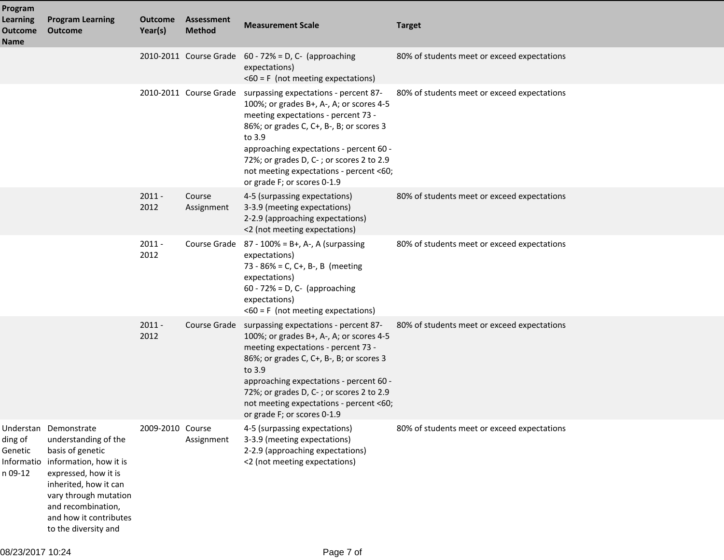| Program                                          |                                                                                                                                                                                                                                               |                           |                             |                                                                                                                                                                                                                                                                                                                                                 |                                             |
|--------------------------------------------------|-----------------------------------------------------------------------------------------------------------------------------------------------------------------------------------------------------------------------------------------------|---------------------------|-----------------------------|-------------------------------------------------------------------------------------------------------------------------------------------------------------------------------------------------------------------------------------------------------------------------------------------------------------------------------------------------|---------------------------------------------|
| <b>Learning</b><br><b>Outcome</b><br><b>Name</b> | <b>Program Learning</b><br><b>Outcome</b>                                                                                                                                                                                                     | <b>Outcome</b><br>Year(s) | Assessment<br><b>Method</b> | <b>Measurement Scale</b>                                                                                                                                                                                                                                                                                                                        | <b>Target</b>                               |
|                                                  |                                                                                                                                                                                                                                               |                           |                             | 2010-2011 Course Grade $60 - 72\% = D$ , C- (approaching<br>expectations)<br>$<$ 60 = F (not meeting expectations)                                                                                                                                                                                                                              | 80% of students meet or exceed expectations |
|                                                  |                                                                                                                                                                                                                                               |                           | 2010-2011 Course Grade      | surpassing expectations - percent 87-<br>100%; or grades B+, A-, A; or scores 4-5<br>meeting expectations - percent 73 -<br>86%; or grades C, C+, B-, B; or scores 3<br>to 3.9<br>approaching expectations - percent 60 -<br>72%; or grades D, C-; or scores 2 to 2.9<br>not meeting expectations - percent <60;<br>or grade F; or scores 0-1.9 | 80% of students meet or exceed expectations |
|                                                  |                                                                                                                                                                                                                                               | $2011 -$<br>2012          | Course<br>Assignment        | 4-5 (surpassing expectations)<br>3-3.9 (meeting expectations)<br>2-2.9 (approaching expectations)<br><2 (not meeting expectations)                                                                                                                                                                                                              | 80% of students meet or exceed expectations |
|                                                  |                                                                                                                                                                                                                                               | $2011 -$<br>2012          | Course Grade                | 87 - 100% = B+, A-, A (surpassing<br>expectations)<br>73 - 86% = C, C+, B-, B (meeting<br>expectations)<br>$60 - 72\% = D$ , C- (approaching<br>expectations)<br>$<$ 60 = F (not meeting expectations)                                                                                                                                          | 80% of students meet or exceed expectations |
|                                                  |                                                                                                                                                                                                                                               | $2011 -$<br>2012          | Course Grade                | surpassing expectations - percent 87-<br>100%; or grades B+, A-, A; or scores 4-5<br>meeting expectations - percent 73 -<br>86%; or grades C, C+, B-, B; or scores 3<br>to 3.9<br>approaching expectations - percent 60 -<br>72%; or grades D, C-; or scores 2 to 2.9<br>not meeting expectations - percent <60;<br>or grade F; or scores 0-1.9 | 80% of students meet or exceed expectations |
| ding of<br>Genetic<br>Informatio<br>n 09-12      | Understan Demonstrate<br>understanding of the<br>basis of genetic<br>information, how it is<br>expressed, how it is<br>inherited, how it can<br>vary through mutation<br>and recombination,<br>and how it contributes<br>to the diversity and | 2009-2010 Course          | Assignment                  | 4-5 (surpassing expectations)<br>3-3.9 (meeting expectations)<br>2-2.9 (approaching expectations)<br><2 (not meeting expectations)                                                                                                                                                                                                              | 80% of students meet or exceed expectations |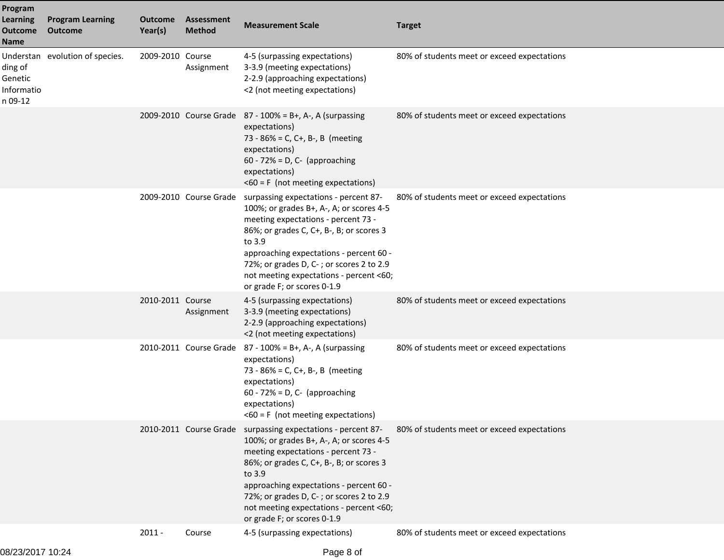| Program<br><b>Learning</b><br><b>Outcome</b><br>Name | <b>Program Learning</b><br><b>Outcome</b> | <b>Outcome</b><br>Year(s) | <b>Assessment</b><br><b>Method</b> | <b>Measurement Scale</b>                                                                                                                                                                                                                                                                                                                                               | <b>Target</b>                               |
|------------------------------------------------------|-------------------------------------------|---------------------------|------------------------------------|------------------------------------------------------------------------------------------------------------------------------------------------------------------------------------------------------------------------------------------------------------------------------------------------------------------------------------------------------------------------|---------------------------------------------|
| ding of<br>Genetic<br>Informatio<br>n 09-12          | Understan evolution of species.           | 2009-2010 Course          | Assignment                         | 4-5 (surpassing expectations)<br>3-3.9 (meeting expectations)<br>2-2.9 (approaching expectations)<br><2 (not meeting expectations)                                                                                                                                                                                                                                     | 80% of students meet or exceed expectations |
|                                                      |                                           |                           |                                    | 2009-2010 Course Grade 87 - 100% = B+, A-, A (surpassing<br>expectations)<br>73 - 86% = C, C+, B-, B (meeting<br>expectations)<br>$60 - 72\% = D$ , C- (approaching<br>expectations)<br>$<$ 60 = F (not meeting expectations)                                                                                                                                          | 80% of students meet or exceed expectations |
|                                                      |                                           |                           | 2009-2010 Course Grade             | surpassing expectations - percent 87-<br>100%; or grades B+, A-, A; or scores 4-5<br>meeting expectations - percent 73 -<br>86%; or grades C, C+, B-, B; or scores 3<br>to 3.9<br>approaching expectations - percent 60 -<br>72%; or grades D, C-; or scores 2 to 2.9<br>not meeting expectations - percent <60;<br>or grade F; or scores 0-1.9                        | 80% of students meet or exceed expectations |
|                                                      |                                           | 2010-2011 Course          | Assignment                         | 4-5 (surpassing expectations)<br>3-3.9 (meeting expectations)<br>2-2.9 (approaching expectations)<br><2 (not meeting expectations)                                                                                                                                                                                                                                     | 80% of students meet or exceed expectations |
|                                                      |                                           |                           |                                    | 2010-2011 Course Grade 87 - 100% = B+, A-, A (surpassing<br>expectations)<br>73 - 86% = C, C+, B-, B (meeting<br>expectations)<br>$60 - 72\% = D$ , C- (approaching<br>expectations)<br>$<$ 60 = F (not meeting expectations)                                                                                                                                          | 80% of students meet or exceed expectations |
|                                                      |                                           |                           |                                    | 2010-2011 Course Grade surpassing expectations - percent 87-<br>100%; or grades B+, A-, A; or scores 4-5<br>meeting expectations - percent 73 -<br>86%; or grades C, C+, B-, B; or scores 3<br>to 3.9<br>approaching expectations - percent 60 -<br>72%; or grades D, C-; or scores 2 to 2.9<br>not meeting expectations - percent <60;<br>or grade F; or scores 0-1.9 | 80% of students meet or exceed expectations |
|                                                      |                                           | $2011 -$                  | Course                             | 4-5 (surpassing expectations)                                                                                                                                                                                                                                                                                                                                          | 80% of students meet or exceed expectations |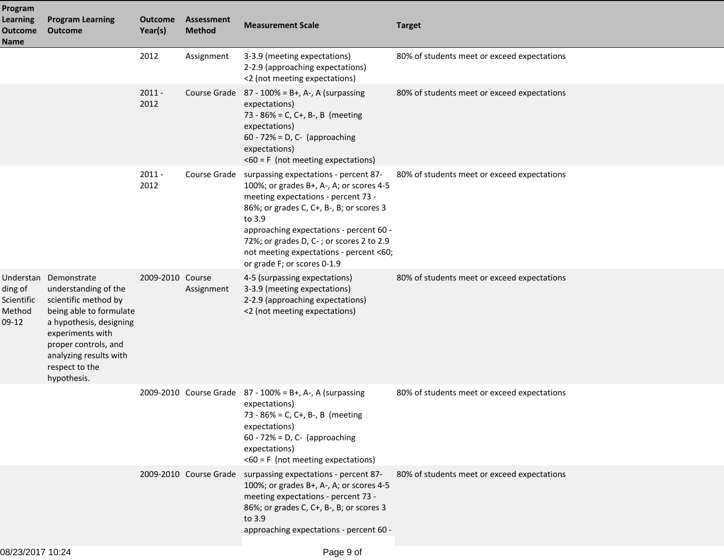| Program<br><b>Learning</b><br><b>Outcome</b><br><b>Name</b> | <b>Program Learning</b><br><b>Outcome</b>                                                                                                                                                                                          | <b>Outcome</b><br>Year(s) | <b>Assessment</b><br><b>Method</b> | <b>Measurement Scale</b>                                                                                                                                                                                                                                                                                                                                     | <b>Target</b>                               |
|-------------------------------------------------------------|------------------------------------------------------------------------------------------------------------------------------------------------------------------------------------------------------------------------------------|---------------------------|------------------------------------|--------------------------------------------------------------------------------------------------------------------------------------------------------------------------------------------------------------------------------------------------------------------------------------------------------------------------------------------------------------|---------------------------------------------|
|                                                             |                                                                                                                                                                                                                                    | 2012                      | Assignment                         | 3-3.9 (meeting expectations)<br>2-2.9 (approaching expectations)<br><2 (not meeting expectations)                                                                                                                                                                                                                                                            | 80% of students meet or exceed expectations |
|                                                             |                                                                                                                                                                                                                                    | $2011 -$<br>2012          |                                    | Course Grade $87 - 100\% = B+, A-, A$ (surpassing<br>expectations)<br>73 - 86% = C, C+, B-, B (meeting<br>expectations)<br>$60 - 72\% = D$ , C- (approaching<br>expectations)<br>$<$ 60 = F (not meeting expectations)                                                                                                                                       | 80% of students meet or exceed expectations |
|                                                             |                                                                                                                                                                                                                                    | $2011 -$<br>2012          |                                    | Course Grade surpassing expectations - percent 87-<br>100%; or grades B+, A-, A; or scores 4-5<br>meeting expectations - percent 73 -<br>86%; or grades C, C+, B-, B; or scores 3<br>to 3.9<br>approaching expectations - percent 60 -<br>72%; or grades D, C-; or scores 2 to 2.9<br>not meeting expectations - percent <60;<br>or grade F; or scores 0-1.9 | 80% of students meet or exceed expectations |
| ding of<br>Scientific<br>Method<br>$09-12$                  | Understan Demonstrate<br>understanding of the<br>scientific method by<br>being able to formulate<br>a hypothesis, designing<br>experiments with<br>proper controls, and<br>analyzing results with<br>respect to the<br>hypothesis. | 2009-2010 Course          | Assignment                         | 4-5 (surpassing expectations)<br>3-3.9 (meeting expectations)<br>2-2.9 (approaching expectations)<br><2 (not meeting expectations)                                                                                                                                                                                                                           | 80% of students meet or exceed expectations |
|                                                             |                                                                                                                                                                                                                                    |                           |                                    | 2009-2010 Course Grade $87 - 100\% = B +$ , A-, A (surpassing<br>expectations)<br>73 - 86% = C, C+, B-, B (meeting<br>expectations)<br>$60 - 72\% = D$ , C- (approaching<br>expectations)<br>$<$ 60 = F (not meeting expectations)                                                                                                                           | 80% of students meet or exceed expectations |
|                                                             |                                                                                                                                                                                                                                    |                           |                                    | 2009-2010 Course Grade surpassing expectations - percent 87-<br>100%; or grades B+, A-, A; or scores 4-5<br>meeting expectations - percent 73 -<br>86%; or grades C, C+, B-, B; or scores 3<br>to 3.9<br>approaching expectations - percent 60 -                                                                                                             | 80% of students meet or exceed expectations |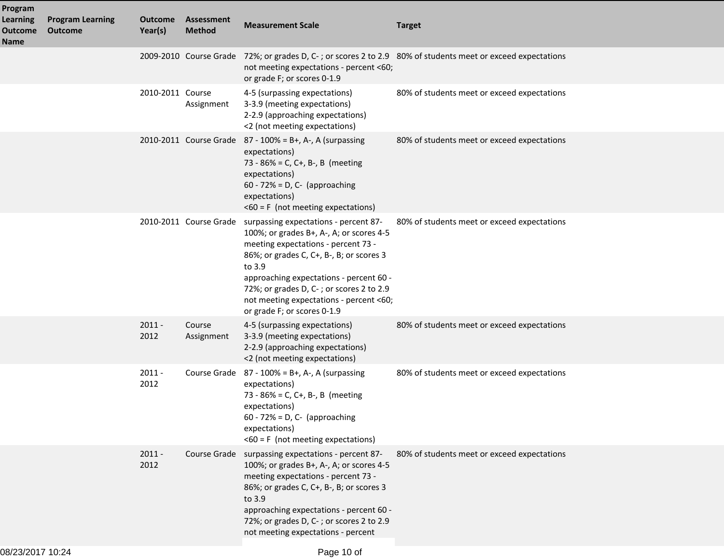| Program<br><b>Learning</b><br><b>Outcome</b><br><b>Name</b> | <b>Program Learning</b><br><b>Outcome</b> | <b>Outcome</b><br>Year(s) | Assessment<br><b>Method</b> | <b>Measurement Scale</b>                                                                                                                                                                                                                                                                                                                                               | <b>Target</b>                                                                                               |
|-------------------------------------------------------------|-------------------------------------------|---------------------------|-----------------------------|------------------------------------------------------------------------------------------------------------------------------------------------------------------------------------------------------------------------------------------------------------------------------------------------------------------------------------------------------------------------|-------------------------------------------------------------------------------------------------------------|
|                                                             |                                           |                           |                             | not meeting expectations - percent <60;<br>or grade F; or scores 0-1.9                                                                                                                                                                                                                                                                                                 | 2009-2010 Course Grade 72%; or grades D, C-; or scores 2 to 2.9 80% of students meet or exceed expectations |
|                                                             |                                           | 2010-2011 Course          | Assignment                  | 4-5 (surpassing expectations)<br>3-3.9 (meeting expectations)<br>2-2.9 (approaching expectations)<br><2 (not meeting expectations)                                                                                                                                                                                                                                     | 80% of students meet or exceed expectations                                                                 |
|                                                             |                                           |                           |                             | 2010-2011 Course Grade $87 - 100\% = B +$ , A-, A (surpassing<br>expectations)<br>73 - 86% = C, C+, B-, B (meeting<br>expectations)<br>$60 - 72\% = D$ , C- (approaching<br>expectations)<br>$<$ 60 = F (not meeting expectations)                                                                                                                                     | 80% of students meet or exceed expectations                                                                 |
|                                                             |                                           |                           |                             | 2010-2011 Course Grade surpassing expectations - percent 87-<br>100%; or grades B+, A-, A; or scores 4-5<br>meeting expectations - percent 73 -<br>86%; or grades C, C+, B-, B; or scores 3<br>to 3.9<br>approaching expectations - percent 60 -<br>72%; or grades D, C-; or scores 2 to 2.9<br>not meeting expectations - percent <60;<br>or grade F; or scores 0-1.9 | 80% of students meet or exceed expectations                                                                 |
|                                                             |                                           | $2011 -$<br>2012          | Course<br>Assignment        | 4-5 (surpassing expectations)<br>3-3.9 (meeting expectations)<br>2-2.9 (approaching expectations)<br><2 (not meeting expectations)                                                                                                                                                                                                                                     | 80% of students meet or exceed expectations                                                                 |
|                                                             |                                           | $2011 -$<br>2012          |                             | Course Grade $87 - 100\% = B+, A-, A$ (surpassing<br>expectations)<br>73 - 86% = C, C+, B-, B (meeting<br>expectations)<br>$60 - 72\% = D$ , C- (approaching<br>expectations)<br>$<$ 60 = F (not meeting expectations)                                                                                                                                                 | 80% of students meet or exceed expectations                                                                 |
|                                                             |                                           | $2011 -$<br>2012          |                             | Course Grade surpassing expectations - percent 87-<br>100%; or grades B+, A-, A; or scores 4-5<br>meeting expectations - percent 73 -<br>86%; or grades C, C+, B-, B; or scores 3<br>to 3.9<br>approaching expectations - percent 60 -<br>72%; or grades D, C-; or scores 2 to 2.9<br>not meeting expectations - percent                                               | 80% of students meet or exceed expectations                                                                 |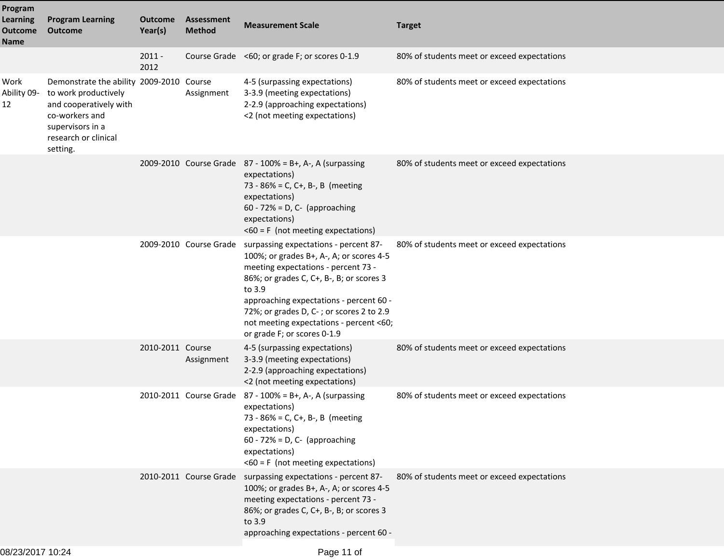| Program<br><b>Learning</b><br><b>Outcome</b><br>Name | <b>Program Learning</b><br><b>Outcome</b>                                                                                                                            | <b>Outcome</b><br>Year(s) | <b>Assessment</b><br><b>Method</b> | <b>Measurement Scale</b>                                                                                                                                                                                                                                                                                                                        | <b>Target</b>                               |  |
|------------------------------------------------------|----------------------------------------------------------------------------------------------------------------------------------------------------------------------|---------------------------|------------------------------------|-------------------------------------------------------------------------------------------------------------------------------------------------------------------------------------------------------------------------------------------------------------------------------------------------------------------------------------------------|---------------------------------------------|--|
|                                                      |                                                                                                                                                                      | $2011 -$<br>2012          |                                    | Course Grade <60; or grade F; or scores 0-1.9                                                                                                                                                                                                                                                                                                   | 80% of students meet or exceed expectations |  |
| Work<br>Ability 09-<br>12                            | Demonstrate the ability 2009-2010 Course<br>to work productively<br>and cooperatively with<br>co-workers and<br>supervisors in a<br>research or clinical<br>setting. |                           | Assignment                         | 4-5 (surpassing expectations)<br>3-3.9 (meeting expectations)<br>2-2.9 (approaching expectations)<br><2 (not meeting expectations)                                                                                                                                                                                                              | 80% of students meet or exceed expectations |  |
|                                                      |                                                                                                                                                                      |                           |                                    | 2009-2010 Course Grade $87 - 100\% = B +$ , A-, A (surpassing<br>expectations)<br>73 - 86% = C, C+, B-, B (meeting<br>expectations)<br>$60 - 72\% = D$ , C- (approaching<br>expectations)<br>$<$ 60 = F (not meeting expectations)                                                                                                              | 80% of students meet or exceed expectations |  |
|                                                      |                                                                                                                                                                      |                           | 2009-2010 Course Grade             | surpassing expectations - percent 87-<br>100%; or grades B+, A-, A; or scores 4-5<br>meeting expectations - percent 73 -<br>86%; or grades C, C+, B-, B; or scores 3<br>to 3.9<br>approaching expectations - percent 60 -<br>72%; or grades D, C-; or scores 2 to 2.9<br>not meeting expectations - percent <60;<br>or grade F; or scores 0-1.9 | 80% of students meet or exceed expectations |  |
|                                                      |                                                                                                                                                                      | 2010-2011 Course          | Assignment                         | 4-5 (surpassing expectations)<br>3-3.9 (meeting expectations)<br>2-2.9 (approaching expectations)<br><2 (not meeting expectations)                                                                                                                                                                                                              | 80% of students meet or exceed expectations |  |
|                                                      |                                                                                                                                                                      |                           |                                    | 2010-2011 Course Grade 87 - 100% = B+, A-, A (surpassing<br>expectations)<br>73 - 86% = C, C+, B-, B (meeting<br>expectations)<br>$60 - 72\% = D$ , C- (approaching<br>expectations)<br>$<$ 60 = F (not meeting expectations)                                                                                                                   | 80% of students meet or exceed expectations |  |
|                                                      |                                                                                                                                                                      |                           |                                    | 2010-2011 Course Grade surpassing expectations - percent 87-<br>100%; or grades B+, A-, A; or scores 4-5<br>meeting expectations - percent 73 -<br>86%; or grades C, C+, B-, B; or scores 3<br>to 3.9<br>approaching expectations - percent 60 -                                                                                                | 80% of students meet or exceed expectations |  |